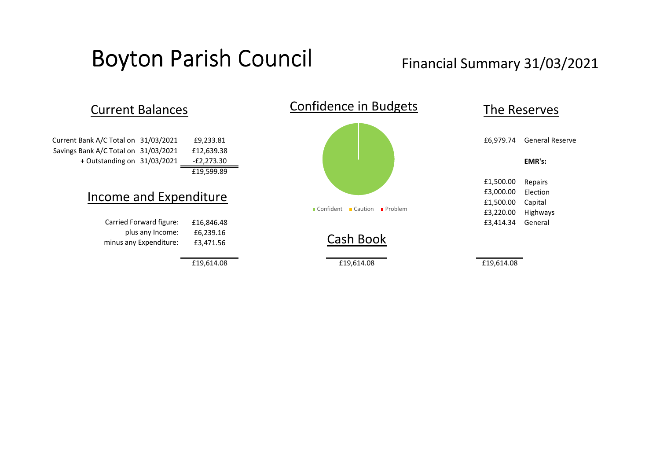## Boyton Parish Council Financial Summary 31/03/2021

Savings Bank A/C Total on 31/03/2021 £12,639.38 £19,599.89 Current Bank A/C Total on

## Income and Expenditure

£6,239.16 £3,471.56 Carried Forward figure: plus any Income: minus any Expenditure: